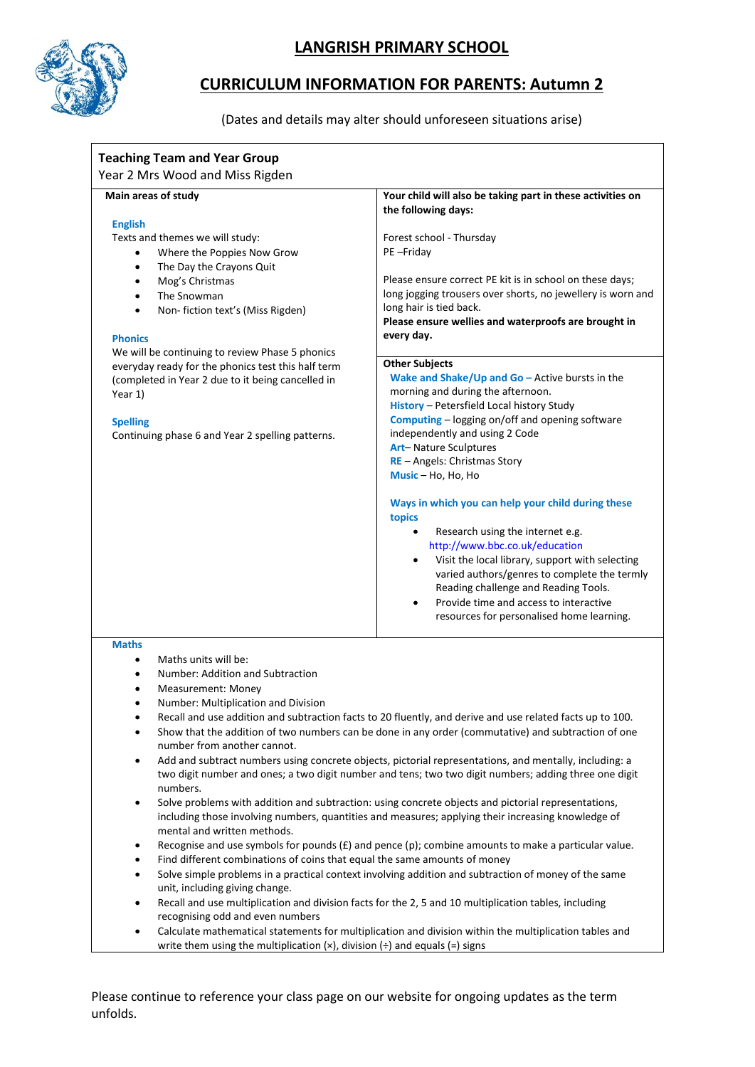

## **LANGRISH PRIMARY SCHOOL**

## **CURRICULUM INFORMATION FOR PARENTS: Autumn 2**

(Dates and details may alter should unforeseen situations arise)

| <b>Teaching Team and Year Group</b><br>Year 2 Mrs Wood and Miss Rigden                                              |                                                                                                           |  |
|---------------------------------------------------------------------------------------------------------------------|-----------------------------------------------------------------------------------------------------------|--|
|                                                                                                                     |                                                                                                           |  |
| Main areas of study                                                                                                 | Your child will also be taking part in these activities on                                                |  |
| <b>English</b>                                                                                                      | the following days:                                                                                       |  |
| Texts and themes we will study:                                                                                     | Forest school - Thursday                                                                                  |  |
| Where the Poppies Now Grow<br>$\bullet$                                                                             | PE-Friday                                                                                                 |  |
| The Day the Crayons Quit<br>$\bullet$                                                                               |                                                                                                           |  |
| Mog's Christmas<br>$\bullet$                                                                                        | Please ensure correct PE kit is in school on these days;                                                  |  |
| The Snowman                                                                                                         | long jogging trousers over shorts, no jewellery is worn and                                               |  |
| Non-fiction text's (Miss Rigden)                                                                                    | long hair is tied back.                                                                                   |  |
|                                                                                                                     | Please ensure wellies and waterproofs are brought in                                                      |  |
| <b>Phonics</b>                                                                                                      | every day.                                                                                                |  |
| We will be continuing to review Phase 5 phonics<br>everyday ready for the phonics test this half term               | <b>Other Subjects</b>                                                                                     |  |
| (completed in Year 2 due to it being cancelled in                                                                   | Wake and Shake/Up and $Go$ – Active bursts in the                                                         |  |
| Year 1)                                                                                                             | morning and during the afternoon.                                                                         |  |
|                                                                                                                     | History - Petersfield Local history Study                                                                 |  |
| <b>Spelling</b>                                                                                                     | Computing - logging on/off and opening software                                                           |  |
| Continuing phase 6 and Year 2 spelling patterns.                                                                    | independently and using 2 Code                                                                            |  |
|                                                                                                                     | Art-Nature Sculptures                                                                                     |  |
|                                                                                                                     | RE - Angels: Christmas Story<br>Music - Ho, Ho, Ho                                                        |  |
|                                                                                                                     |                                                                                                           |  |
|                                                                                                                     | Ways in which you can help your child during these                                                        |  |
|                                                                                                                     | topics                                                                                                    |  |
|                                                                                                                     | Research using the internet e.g.<br>$\bullet$<br>http://www.bbc.co.uk/education                           |  |
|                                                                                                                     | Visit the local library, support with selecting<br>٠                                                      |  |
|                                                                                                                     | varied authors/genres to complete the termly                                                              |  |
|                                                                                                                     | Reading challenge and Reading Tools.                                                                      |  |
|                                                                                                                     | Provide time and access to interactive<br>$\bullet$                                                       |  |
|                                                                                                                     | resources for personalised home learning.                                                                 |  |
| <b>Maths</b>                                                                                                        |                                                                                                           |  |
| Maths units will be:                                                                                                |                                                                                                           |  |
| Number: Addition and Subtraction                                                                                    |                                                                                                           |  |
| Measurement: Money                                                                                                  |                                                                                                           |  |
| Number: Multiplication and Division                                                                                 |                                                                                                           |  |
| ٠                                                                                                                   | Recall and use addition and subtraction facts to 20 fluently, and derive and use related facts up to 100. |  |
| $\bullet$                                                                                                           | Show that the addition of two numbers can be done in any order (commutative) and subtraction of one       |  |
| number from another cannot.                                                                                         |                                                                                                           |  |
| $\bullet$                                                                                                           | Add and subtract numbers using concrete objects, pictorial representations, and mentally, including: a    |  |
| numbers.                                                                                                            | two digit number and ones; a two digit number and tens; two two digit numbers; adding three one digit     |  |
| $\bullet$                                                                                                           | Solve problems with addition and subtraction: using concrete objects and pictorial representations,       |  |
|                                                                                                                     | including those involving numbers, quantities and measures; applying their increasing knowledge of        |  |
| mental and written methods.                                                                                         | Recognise and use symbols for pounds $(E)$ and pence (p); combine amounts to make a particular value.     |  |
| Find different combinations of coins that equal the same amounts of money                                           |                                                                                                           |  |
|                                                                                                                     | Solve simple problems in a practical context involving addition and subtraction of money of the same      |  |
| unit, including giving change.                                                                                      |                                                                                                           |  |
| $\bullet$                                                                                                           | Recall and use multiplication and division facts for the 2, 5 and 10 multiplication tables, including     |  |
| recognising odd and even numbers                                                                                    |                                                                                                           |  |
| Calculate mathematical statements for multiplication and division within the multiplication tables and<br>$\bullet$ |                                                                                                           |  |
| write them using the multiplication $(x)$ , division $\left(\div\right)$ and equals $\left(\equiv\right)$ signs     |                                                                                                           |  |

Please continue to reference your class page on our website for ongoing updates as the term unfolds.